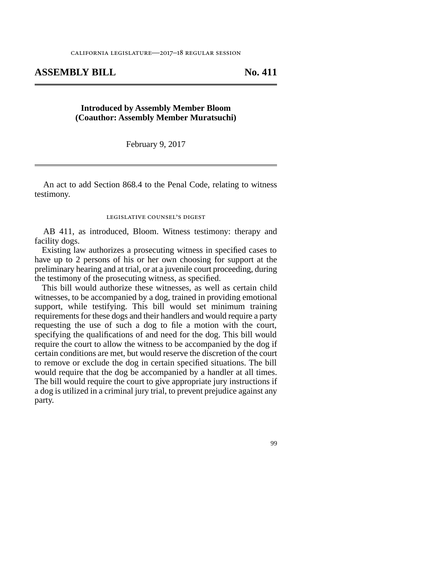# **ASSEMBLY BILL No. 411**

## **Introduced by Assembly Member Bloom (Coauthor: Assembly Member Muratsuchi)**

February 9, 2017

An act to add Section 868.4 to the Penal Code, relating to witness testimony.

#### legislative counsel's digest

AB 411, as introduced, Bloom. Witness testimony: therapy and facility dogs.

Existing law authorizes a prosecuting witness in specified cases to have up to 2 persons of his or her own choosing for support at the preliminary hearing and at trial, or at a juvenile court proceeding, during the testimony of the prosecuting witness, as specified.

This bill would authorize these witnesses, as well as certain child witnesses, to be accompanied by a dog, trained in providing emotional support, while testifying. This bill would set minimum training requirements for these dogs and their handlers and would require a party requesting the use of such a dog to file a motion with the court, specifying the qualifications of and need for the dog. This bill would require the court to allow the witness to be accompanied by the dog if certain conditions are met, but would reserve the discretion of the court to remove or exclude the dog in certain specified situations. The bill would require that the dog be accompanied by a handler at all times. The bill would require the court to give appropriate jury instructions if a dog is utilized in a criminal jury trial, to prevent prejudice against any party.

### 99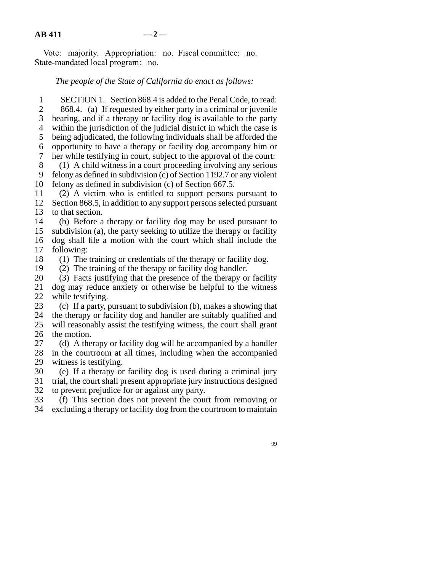Vote: majority. Appropriation: no. Fiscal committee: no. State-mandated local program: no.

## *The people of the State of California do enact as follows:*

1 SECTION 1. Section 868.4 is added to the Penal Code, to read: 2 868.4. (a) If requested by either party in a criminal or juvenile 3 hearing, and if a therapy or facility dog is available to the party 4 within the jurisdiction of the judicial district in which the case is 5 being adjudicated, the following individuals shall be afforded the 6 opportunity to have a therapy or facility dog accompany him or 7 her while testifying in court, subject to the approval of the court: her while testifying in court, subject to the approval of the court: 8 (1) A child witness in a court proceeding involving any serious<br>9 felony as defined in subdivision (c) of Section 1192.7 or any violent felony as defined in subdivision (c) of Section 1192.7 or any violent 10 felony as defined in subdivision (c) of Section  $667.5$ . 11 (2) A victim who is entitled to support persons pursuant to 12 Section 868.5, in addition to any support persons selected pursuant 13 to that section. 14 (b) Before a therapy or facility dog may be used pursuant to 15 subdivision (a), the party seeking to utilize the therapy or facility 16 dog shall file a motion with the court which shall include the 17 following:

18  $\hspace{1.6cm}$  (1) The training or credentials of the therapy or facility dog.

19 (2) The training of the therapy or facility dog handler.<br>20 (3) Facts iustifying that the presence of the therapy or

 $\lambda$  (3) Facts justifying that the presence of the therapy or facility 21 dog may reduce anxiety or otherwise be helpful to the witness 22 while testifying.

23 (c) If a party, pursuant to subdivision (b), makes a showing that 24 the therapy or facility dog and handler are suitably qualified and 25 will reasonably assist the testifying witness, the court shall grant 26 the motion.

27 (d) A therapy or facility dog will be accompanied by a handler 28 in the courtroom at all times, including when the accompanied 29 witness is testifying.

30 (e) If a therapy or facility dog is used during a criminal jury 31 trial, the court shall present appropriate jury instructions designed 32 to prevent prejudice for or against any party.

33 (f) This section does not prevent the court from removing or

34 excluding a therapy or facility dog from the courtroom to maintain

99